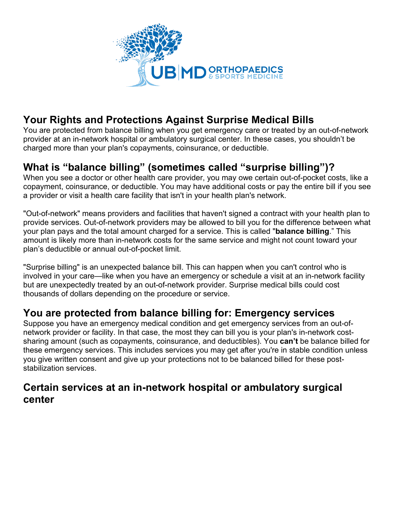

# **Your Rights and Protections Against Surprise Medical Bills**

You are protected from balance billing when you get emergency care or treated by an out-of-network provider at an in-network hospital or ambulatory surgical center. In these cases, you shouldn't be charged more than your plan's copayments, coinsurance, or deductible.

## **What is "balance billing" (sometimes called "surprise billing")?**

When you see a doctor or other health care provider, you may owe certain out-of-pocket costs, like a copayment, coinsurance, or deductible. You may have additional costs or pay the entire bill if you see a provider or visit a health care facility that isn't in your health plan's network.

"Out-of-network" means providers and facilities that haven't signed a contract with your health plan to provide services. Out-of-network providers may be allowed to bill you for the difference between what your plan pays and the total amount charged for a service. This is called "**balance billing**." This amount is likely more than in-network costs for the same service and might not count toward your plan's deductible or annual out-of-pocket limit.

"Surprise billing" is an unexpected balance bill. This can happen when you can't control who is involved in your care—like when you have an emergency or schedule a visit at an in-network facility but are unexpectedly treated by an out-of-network provider. Surprise medical bills could cost thousands of dollars depending on the procedure or service.

### **You are protected from balance billing for: Emergency services**

Suppose you have an emergency medical condition and get emergency services from an out-ofnetwork provider or facility. In that case, the most they can bill you is your plan's in-network costsharing amount (such as copayments, coinsurance, and deductibles). You **can't** be balance billed for these emergency services. This includes services you may get after you're in stable condition unless you give written consent and give up your protections not to be balanced billed for these poststabilization services.

#### **Certain services at an in-network hospital or ambulatory surgical center**